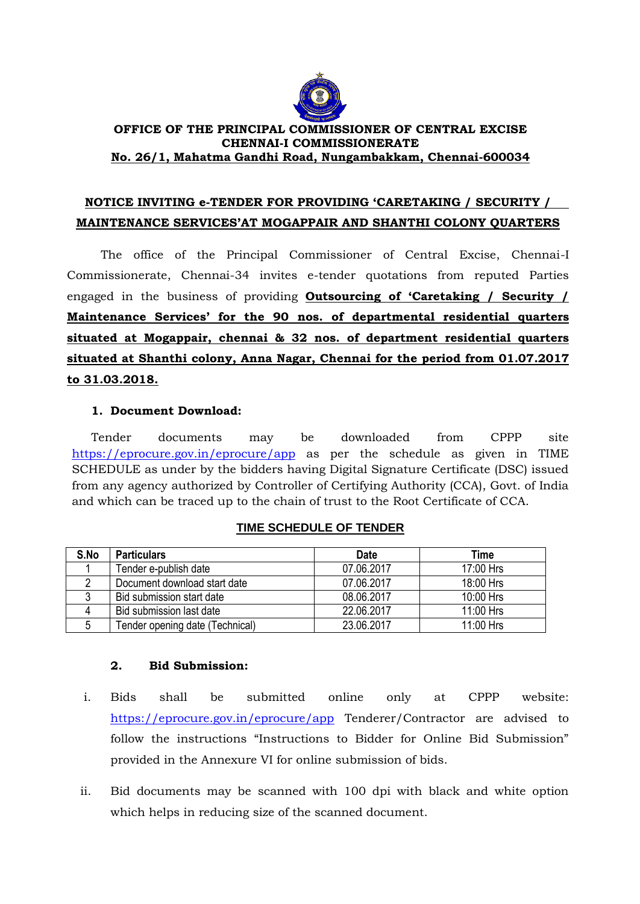

### **OFFICE OF THE PRINCIPAL COMMISSIONER OF CENTRAL EXCISE CHENNAI-I COMMISSIONERATE No. 26/1, Mahatma Gandhi Road, Nungambakkam, Chennai-600034**

# **NOTICE INVITING e-TENDER FOR PROVIDING 'CARETAKING / SECURITY / MAINTENANCE SERVICES'AT MOGAPPAIR AND SHANTHI COLONY QUARTERS**

The office of the Principal Commissioner of Central Excise, Chennai-I Commissionerate, Chennai-34 invites e-tender quotations from reputed Parties engaged in the business of providing **Outsourcing of 'Caretaking / Security / Maintenance Services' for the 90 nos. of departmental residential quarters situated at Mogappair, chennai & 32 nos. of department residential quarters situated at Shanthi colony, Anna Nagar, Chennai for the period from 01.07.2017 to 31.03.2018.**

# **1. Document Download:**

Tender documents may be downloaded from CPPP site <https://eprocure.gov.in/eprocure/app> as per the schedule as given in TIME SCHEDULE as under by the bidders having Digital Signature Certificate (DSC) issued from any agency authorized by Controller of Certifying Authority (CCA), Govt. of India and which can be traced up to the chain of trust to the Root Certificate of CCA.

| S.No | <b>Particulars</b>              | <b>Date</b> | Time      |
|------|---------------------------------|-------------|-----------|
|      | Tender e-publish date           | 07.06.2017  | 17:00 Hrs |
|      | Document download start date    | 07.06.2017  | 18:00 Hrs |
|      | Bid submission start date       | 08.06.2017  | 10:00 Hrs |
|      | Bid submission last date        | 22.06.2017  | 11:00 Hrs |
|      | Tender opening date (Technical) | 23.06.2017  | 11:00 Hrs |

# **TIME SCHEDULE OF TENDER**

#### **2. Bid Submission:**

- i. Bids shall be submitted online only at CPPP website: <https://eprocure.gov.in/eprocure/app> Tenderer/Contractor are advised to follow the instructions "Instructions to Bidder for Online Bid Submission" provided in the Annexure VI for online submission of bids.
- ii. Bid documents may be scanned with 100 dpi with black and white option which helps in reducing size of the scanned document.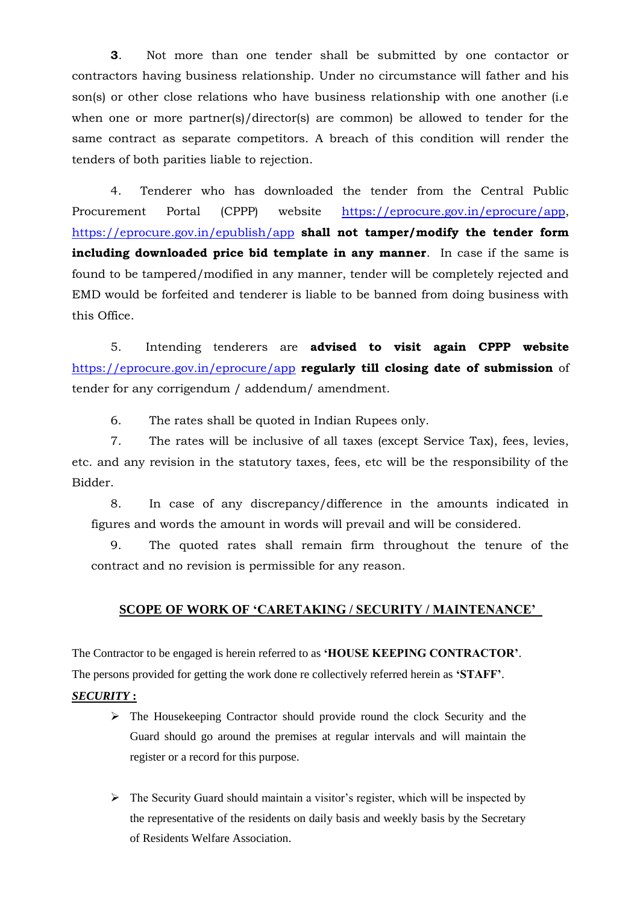**3**. Not more than one tender shall be submitted by one contactor or contractors having business relationship. Under no circumstance will father and his son(s) or other close relations who have business relationship with one another (i.e when one or more partner(s)/director(s) are common) be allowed to tender for the same contract as separate competitors. A breach of this condition will render the tenders of both parities liable to rejection.

4. Tenderer who has downloaded the tender from the Central Public Procurement Portal (CPPP) website [https://eprocure.gov.in/eprocure/app,](https://eprocure.gov.in/eprocure/app) <https://eprocure.gov.in/epublish/app> **shall not tamper/modify the tender form including downloaded price bid template in any manner**. In case if the same is found to be tampered/modified in any manner, tender will be completely rejected and EMD would be forfeited and tenderer is liable to be banned from doing business with this Office.

5. Intending tenderers are **advised to visit again CPPP website** <https://eprocure.gov.in/eprocure/app> **regularly till closing date of submission** of tender for any corrigendum / addendum/ amendment.

6. The rates shall be quoted in Indian Rupees only.

7. The rates will be inclusive of all taxes (except Service Tax), fees, levies, etc. and any revision in the statutory taxes, fees, etc will be the responsibility of the Bidder.

8. In case of any discrepancy/difference in the amounts indicated in figures and words the amount in words will prevail and will be considered.

9. The quoted rates shall remain firm throughout the tenure of the contract and no revision is permissible for any reason.

# **SCOPE OF WORK OF "CARETAKING / SECURITY / MAINTENANCE"**

The Contractor to be engaged is herein referred to as **"HOUSE KEEPING CONTRACTOR"**.

The persons provided for getting the work done re collectively referred herein as **"STAFF"**.

#### *SECURITY* **:**

- $\triangleright$  The Housekeeping Contractor should provide round the clock Security and the Guard should go around the premises at regular intervals and will maintain the register or a record for this purpose.
- $\triangleright$  The Security Guard should maintain a visitor's register, which will be inspected by the representative of the residents on daily basis and weekly basis by the Secretary of Residents Welfare Association.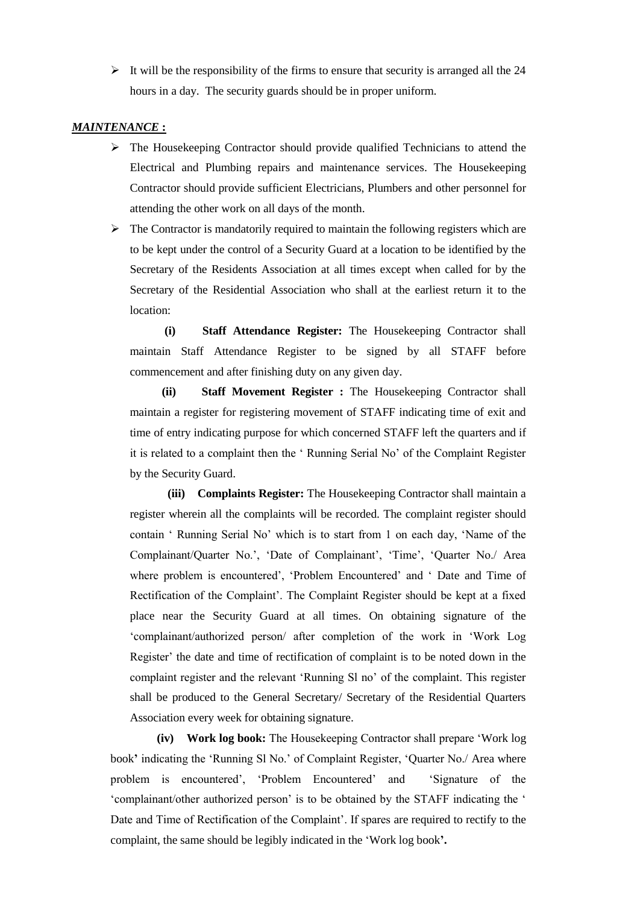$\triangleright$  It will be the responsibility of the firms to ensure that security is arranged all the 24 hours in a day. The security guards should be in proper uniform.

#### *MAINTENANCE* **:**

- $\triangleright$  The Housekeeping Contractor should provide qualified Technicians to attend the Electrical and Plumbing repairs and maintenance services. The Housekeeping Contractor should provide sufficient Electricians, Plumbers and other personnel for attending the other work on all days of the month.
- $\triangleright$  The Contractor is mandatorily required to maintain the following registers which are to be kept under the control of a Security Guard at a location to be identified by the Secretary of the Residents Association at all times except when called for by the Secretary of the Residential Association who shall at the earliest return it to the location:

 **(i) Staff Attendance Register:** The Housekeeping Contractor shall maintain Staff Attendance Register to be signed by all STAFF before commencement and after finishing duty on any given day.

 **(ii) Staff Movement Register :** The Housekeeping Contractor shall maintain a register for registering movement of STAFF indicating time of exit and time of entry indicating purpose for which concerned STAFF left the quarters and if it is related to a complaint then the " Running Serial No" of the Complaint Register by the Security Guard.

 **(iii) Complaints Register:** The Housekeeping Contractor shall maintain a register wherein all the complaints will be recorded. The complaint register should contain " Running Serial No" which is to start from 1 on each day, "Name of the Complainant/Quarter No.', 'Date of Complainant', 'Time', 'Quarter No./ Area where problem is encountered', 'Problem Encountered' and ' Date and Time of Rectification of the Complaint". The Complaint Register should be kept at a fixed place near the Security Guard at all times. On obtaining signature of the "complainant/authorized person/ after completion of the work in "Work Log Register' the date and time of rectification of complaint is to be noted down in the complaint register and the relevant "Running Sl no" of the complaint. This register shall be produced to the General Secretary/ Secretary of the Residential Quarters Association every week for obtaining signature.

 **(iv) Work log book:** The Housekeeping Contractor shall prepare "Work log book**"** indicating the "Running Sl No." of Complaint Register, "Quarter No./ Area where problem is encountered', 'Problem Encountered' and 'Signature of the 'complainant/other authorized person' is to be obtained by the STAFF indicating the ' Date and Time of Rectification of the Complaint". If spares are required to rectify to the complaint, the same should be legibly indicated in the "Work log book**".**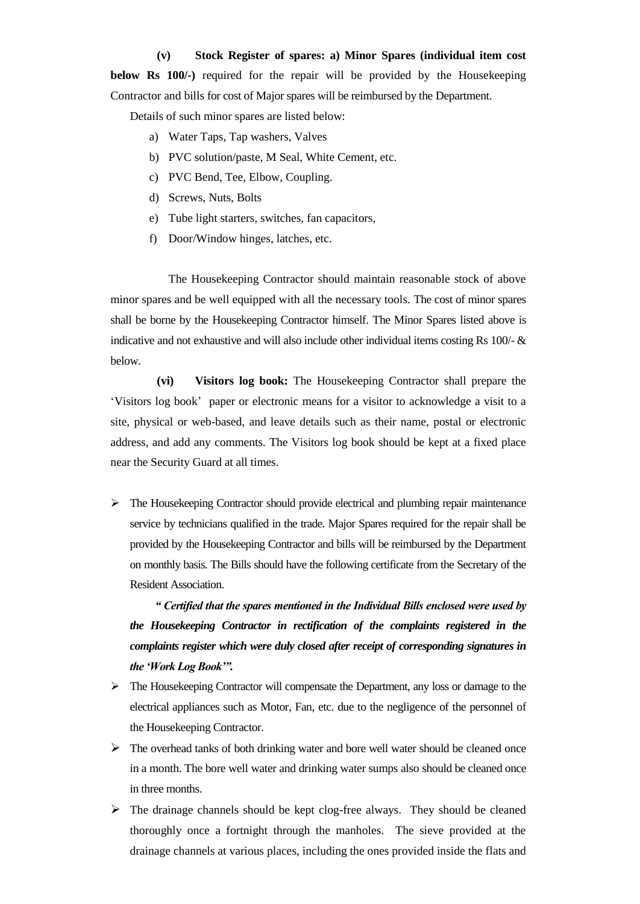#### **(v) Stock Register of spares: a) Minor Spares (individual item cost**

**below Rs 100/-)** required for the repair will be provided by the Housekeeping Contractor and bills for cost of Major spares will be reimbursed by the Department.

Details of such minor spares are listed below:

- a) Water Taps, Tap washers, Valves
- b) PVC solution/paste, M Seal, White Cement, etc.
- c) PVC Bend, Tee, Elbow, Coupling.
- d) Screws, Nuts, Bolts
- e) Tube light starters, switches, fan capacitors,
- f) Door/Window hinges, latches, etc.

The Housekeeping Contractor should maintain reasonable stock of above minor spares and be well equipped with all the necessary tools. The cost of minor spares shall be borne by the Housekeeping Contractor himself. The Minor Spares listed above is indicative and not exhaustive and will also include other individual items costing Rs  $100/-$  & below.

 **(vi) Visitors log book:** The Housekeeping Contractor shall prepare the "Visitors log book" paper or electronic means for a visitor to acknowledge a visit to a site, physical or web-based, and leave details such as their name, postal or electronic address, and add any comments. The Visitors log book should be kept at a fixed place near the Security Guard at all times.

 $\triangleright$  The Housekeeping Contractor should provide electrical and plumbing repair maintenance service by technicians qualified in the trade. Major Spares required for the repair shall be provided by the Housekeeping Contractor and bills will be reimbursed by the Department on monthly basis. The Bills should have the following certificate from the Secretary of the Resident Association.

 *" Certified that the spares mentioned in the Individual Bills enclosed were used by the Housekeeping Contractor in rectification of the complaints registered in the complaints register which were duly closed after receipt of corresponding signatures in the "Work Log Book"".*

- The Housekeeping Contractor will compensate the Department, any loss or damage to the electrical appliances such as Motor, Fan, etc. due to the negligence of the personnel of the Housekeeping Contractor.
- $\triangleright$  The overhead tanks of both drinking water and bore well water should be cleaned once in a month. The bore well water and drinking water sumps also should be cleaned once in three months.
- $\triangleright$  The drainage channels should be kept clog-free always. They should be cleaned thoroughly once a fortnight through the manholes. The sieve provided at the drainage channels at various places, including the ones provided inside the flats and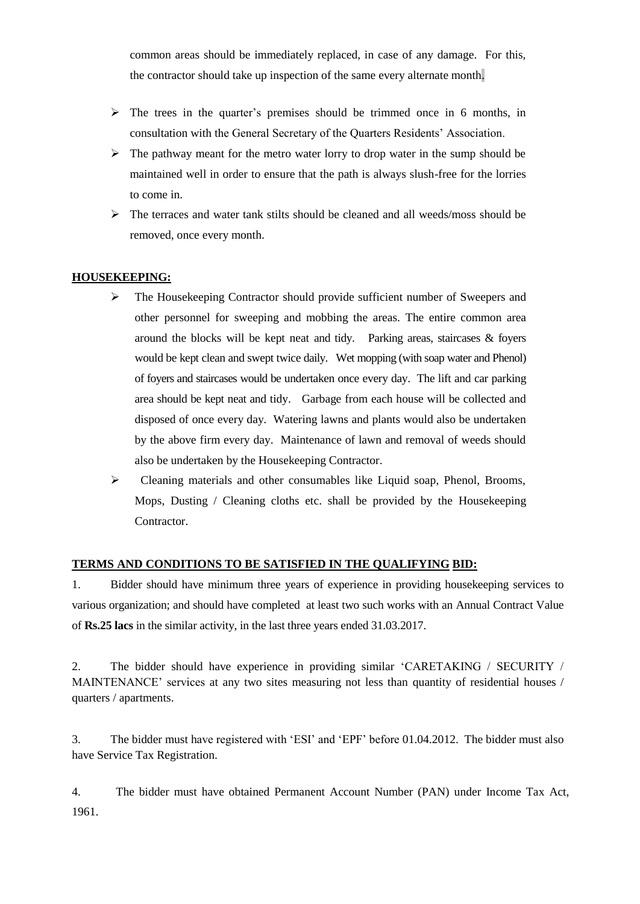common areas should be immediately replaced, in case of any damage. For this, the contractor should take up inspection of the same every alternate month.

- $\triangleright$  The trees in the quarter's premises should be trimmed once in 6 months, in consultation with the General Secretary of the Quarters Residents" Association.
- $\triangleright$  The pathway meant for the metro water lorry to drop water in the sump should be maintained well in order to ensure that the path is always slush-free for the lorries to come in.
- The terraces and water tank stilts should be cleaned and all weeds/moss should be removed, once every month.

# **HOUSEKEEPING:**

- The Housekeeping Contractor should provide sufficient number of Sweepers and other personnel for sweeping and mobbing the areas. The entire common area around the blocks will be kept neat and tidy. Parking areas, staircases & foyers would be kept clean and swept twice daily. Wet mopping (with soap water and Phenol) of foyers and staircases would be undertaken once every day. The lift and car parking area should be kept neat and tidy. Garbage from each house will be collected and disposed of once every day. Watering lawns and plants would also be undertaken by the above firm every day. Maintenance of lawn and removal of weeds should also be undertaken by the Housekeeping Contractor.
- Cleaning materials and other consumables like Liquid soap, Phenol, Brooms, Mops, Dusting / Cleaning cloths etc. shall be provided by the Housekeeping Contractor.

# **TERMS AND CONDITIONS TO BE SATISFIED IN THE QUALIFYING BID:**

1. Bidder should have minimum three years of experience in providing housekeeping services to various organization; and should have completed at least two such works with an Annual Contract Value of **Rs.25 lacs** in the similar activity, in the last three years ended 31.03.2017.

2. The bidder should have experience in providing similar "CARETAKING / SECURITY / MAINTENANCE' services at any two sites measuring not less than quantity of residential houses / quarters / apartments.

3. The bidder must have registered with "ESI" and "EPF" before 01.04.2012. The bidder must also have Service Tax Registration.

4. The bidder must have obtained Permanent Account Number (PAN) under Income Tax Act, 1961.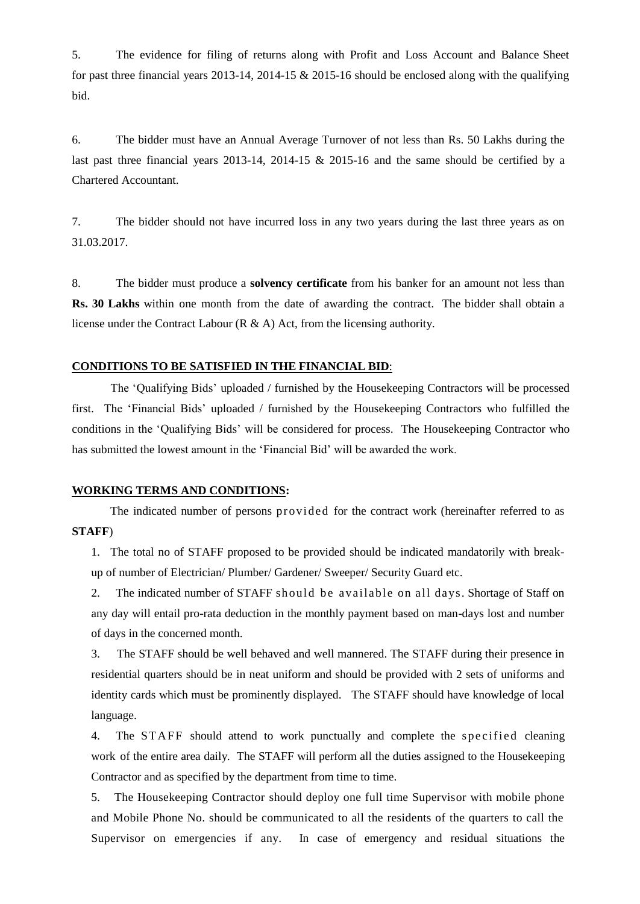5. The evidence for filing of returns along with Profit and Loss Account and Balance Sheet for past three financial years 2013-14, 2014-15 & 2015-16 should be enclosed along with the qualifying bid.

6. The bidder must have an Annual Average Turnover of not less than Rs. 50 Lakhs during the last past three financial years 2013-14, 2014-15 & 2015-16 and the same should be certified by a Chartered Accountant.

7. The bidder should not have incurred loss in any two years during the last three years as on 31.03.2017.

8. The bidder must produce a **solvency certificate** from his banker for an amount not less than **Rs. 30 Lakhs** within one month from the date of awarding the contract. The bidder shall obtain a license under the Contract Labour (R & A) Act, from the licensing authority.

#### **CONDITIONS TO BE SATISFIED IN THE FINANCIAL BID**:

The "Qualifying Bids" uploaded / furnished by the Housekeeping Contractors will be processed first. The "Financial Bids" uploaded / furnished by the Housekeeping Contractors who fulfilled the conditions in the "Qualifying Bids" will be considered for process. The Housekeeping Contractor who has submitted the lowest amount in the "Financial Bid" will be awarded the work.

#### **WORKING TERMS AND CONDITIONS:**

 The indicated number of persons provided for the contract work (hereinafter referred to as **STAFF**)

1. The total no of STAFF proposed to be provided should be indicated mandatorily with breakup of number of Electrician/ Plumber/ Gardener/ Sweeper/ Security Guard etc.

2. The indicated number of STAFF should be available on all days. Shortage of Staff on any day will entail pro-rata deduction in the monthly payment based on man-days lost and number of days in the concerned month.

3. The STAFF should be well behaved and well mannered. The STAFF during their presence in residential quarters should be in neat uniform and should be provided with 2 sets of uniforms and identity cards which must be prominently displayed. The STAFF should have knowledge of local language.

4. The STAFF should attend to work punctually and complete the specified cleaning work of the entire area daily. The STAFF will perform all the duties assigned to the Housekeeping Contractor and as specified by the department from time to time.

5. The Housekeeping Contractor should deploy one full time Supervisor with mobile phone and Mobile Phone No. should be communicated to all the residents of the quarters to call the Supervisor on emergencies if any. In case of emergency and residual situations the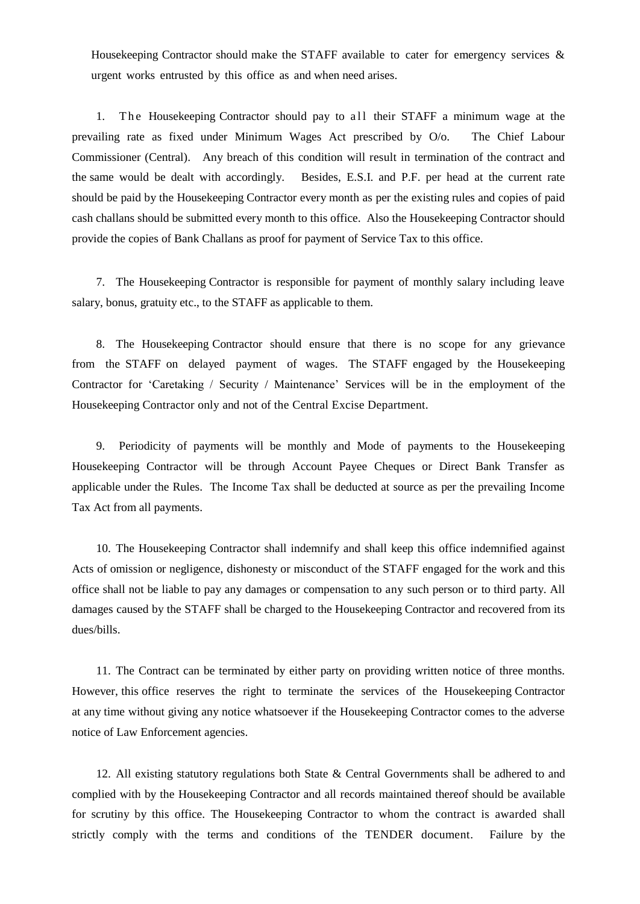Housekeeping Contractor should make the STAFF available to cater for emergency services & urgent works entrusted by this office as and when need arises.

1. The Housekeeping Contractor should pay to all their STAFF a minimum wage at the prevailing rate as fixed under Minimum Wages Act prescribed by O/o. The Chief Labour Commissioner (Central). Any breach of this condition will result in termination of the contract and the same would be dealt with accordingly. Besides, E.S.I. and P.F. per head at the current rate should be paid by the Housekeeping Contractor every month as per the existing rules and copies of paid cash challans should be submitted every month to this office. Also the Housekeeping Contractor should provide the copies of Bank Challans as proof for payment of Service Tax to this office.

7. The Housekeeping Contractor is responsible for payment of monthly salary including leave salary, bonus, gratuity etc., to the STAFF as applicable to them.

8. The Housekeeping Contractor should ensure that there is no scope for any grievance from the STAFF on delayed payment of wages. The STAFF engaged by the Housekeeping Contractor for "Caretaking / Security / Maintenance" Services will be in the employment of the Housekeeping Contractor only and not of the Central Excise Department.

9. Periodicity of payments will be monthly and Mode of payments to the Housekeeping Housekeeping Contractor will be through Account Payee Cheques or Direct Bank Transfer as applicable under the Rules. The Income Tax shall be deducted at source as per the prevailing Income Tax Act from all payments.

10. The Housekeeping Contractor shall indemnify and shall keep this office indemnified against Acts of omission or negligence, dishonesty or misconduct of the STAFF engaged for the work and this office shall not be liable to pay any damages or compensation to any such person or to third party. All damages caused by the STAFF shall be charged to the Housekeeping Contractor and recovered from its dues/bills.

11. The Contract can be terminated by either party on providing written notice of three months. However, this office reserves the right to terminate the services of the Housekeeping Contractor at any time without giving any notice whatsoever if the Housekeeping Contractor comes to the adverse notice of Law Enforcement agencies.

12. All existing statutory regulations both State & Central Governments shall be adhered to and complied with by the Housekeeping Contractor and all records maintained thereof should be available for scrutiny by this office. The Housekeeping Contractor to whom the contract is awarded shall strictly comply with the terms and conditions of the TENDER document. Failure by the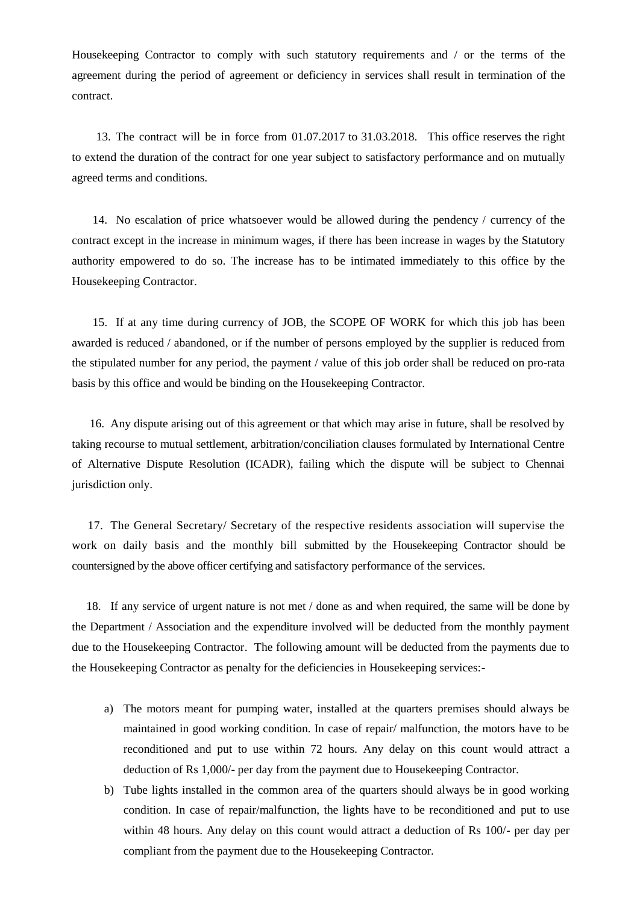Housekeeping Contractor to comply with such statutory requirements and / or the terms of the agreement during the period of agreement or deficiency in services shall result in termination of the contract.

13. The contract will be in force from 01.07.2017 to 31.03.2018. This office reserves the right to extend the duration of the contract for one year subject to satisfactory performance and on mutually agreed terms and conditions.

 14. No escalation of price whatsoever would be allowed during the pendency / currency of the contract except in the increase in minimum wages, if there has been increase in wages by the Statutory authority empowered to do so. The increase has to be intimated immediately to this office by the Housekeeping Contractor.

 15. If at any time during currency of JOB, the SCOPE OF WORK for which this job has been awarded is reduced / abandoned, or if the number of persons employed by the supplier is reduced from the stipulated number for any period, the payment / value of this job order shall be reduced on pro-rata basis by this office and would be binding on the Housekeeping Contractor.

 16. Any dispute arising out of this agreement or that which may arise in future, shall be resolved by taking recourse to mutual settlement, arbitration/conciliation clauses formulated by International Centre of Alternative Dispute Resolution (ICADR), failing which the dispute will be subject to Chennai jurisdiction only.

 17. The General Secretary/ Secretary of the respective residents association will supervise the work on daily basis and the monthly bill submitted by the Housekeeping Contractor should be countersigned by the above officer certifying and satisfactory performance of the services.

 18. If any service of urgent nature is not met / done as and when required, the same will be done by the Department / Association and the expenditure involved will be deducted from the monthly payment due to the Housekeeping Contractor. The following amount will be deducted from the payments due to the Housekeeping Contractor as penalty for the deficiencies in Housekeeping services:-

- a) The motors meant for pumping water, installed at the quarters premises should always be maintained in good working condition. In case of repair/ malfunction, the motors have to be reconditioned and put to use within 72 hours. Any delay on this count would attract a deduction of Rs 1,000/- per day from the payment due to Housekeeping Contractor.
- b) Tube lights installed in the common area of the quarters should always be in good working condition. In case of repair/malfunction, the lights have to be reconditioned and put to use within 48 hours. Any delay on this count would attract a deduction of Rs 100/- per day per compliant from the payment due to the Housekeeping Contractor.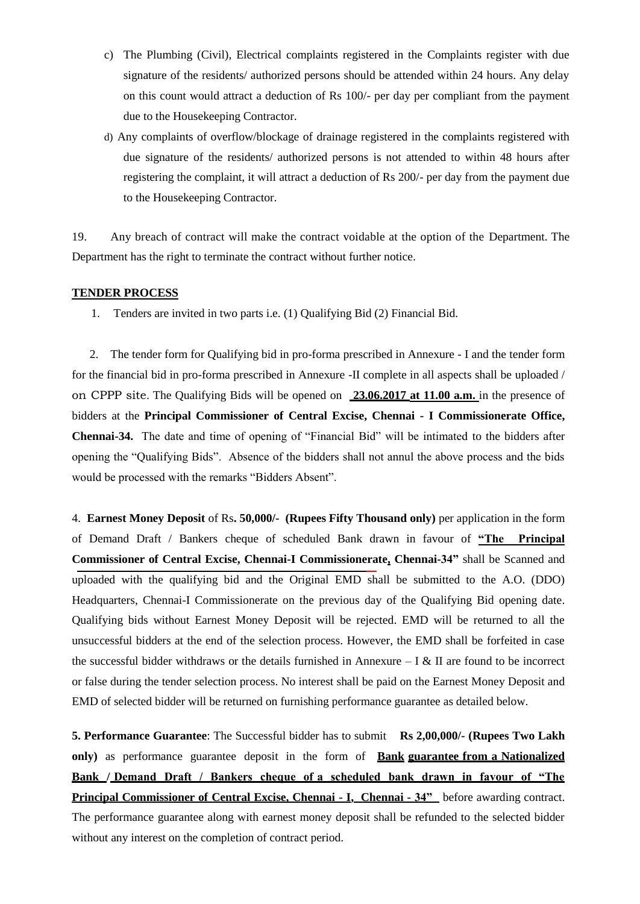- c) The Plumbing (Civil), Electrical complaints registered in the Complaints register with due signature of the residents/ authorized persons should be attended within 24 hours. Any delay on this count would attract a deduction of Rs 100/- per day per compliant from the payment due to the Housekeeping Contractor.
- d) Any complaints of overflow/blockage of drainage registered in the complaints registered with due signature of the residents/ authorized persons is not attended to within 48 hours after registering the complaint, it will attract a deduction of Rs 200/- per day from the payment due to the Housekeeping Contractor.

19. Any breach of contract will make the contract voidable at the option of the Department. The Department has the right to terminate the contract without further notice.

#### **TENDER PROCESS**

1. Tenders are invited in two parts i.e. (1) Qualifying Bid (2) Financial Bid.

 2. The tender form for Qualifying bid in pro-forma prescribed in Annexure - I and the tender form for the financial bid in pro-forma prescribed in Annexure -II complete in all aspects shall be uploaded / on CPPP site. The Qualifying Bids will be opened on **23.06.2017 at 11.00 a.m.** in the presence of bidders at the **Principal Commissioner of Central Excise, Chennai - I Commissionerate Office, Chennai-34.** The date and time of opening of "Financial Bid" will be intimated to the bidders after opening the "Qualifying Bids". Absence of the bidders shall not annul the above process and the bids would be processed with the remarks "Bidders Absent".

4. **Earnest Money Deposit** of Rs**. 50,000/- (Rupees Fifty Thousand only)** per application in the form of Demand Draft / Bankers cheque of scheduled Bank drawn in favour of **"The Principal Commissioner of Central Excise, Chennai-I Commissionerate, Chennai-34"** shall be Scanned and uploaded with the qualifying bid and the Original EMD shall be submitted to the A.O. (DDO) Headquarters, Chennai-I Commissionerate on the previous day of the Qualifying Bid opening date. Qualifying bids without Earnest Money Deposit will be rejected. EMD will be returned to all the unsuccessful bidders at the end of the selection process. However, the EMD shall be forfeited in case the successful bidder withdraws or the details furnished in Annexure  $- I & II$  are found to be incorrect or false during the tender selection process. No interest shall be paid on the Earnest Money Deposit and EMD of selected bidder will be returned on furnishing performance guarantee as detailed below.

**5. Performance Guarantee**: The Successful bidder has to submit **Rs 2,00,000/- (Rupees Two Lakh only)** as performance guarantee deposit in the form of **Bank guarantee from a Nationalized Bank / Demand Draft / Bankers cheque of a scheduled bank drawn in favour of "The Principal Commissioner of Central Excise, Chennai - I, Chennai - 34"** before awarding contract. The performance guarantee along with earnest money deposit shall be refunded to the selected bidder without any interest on the completion of contract period.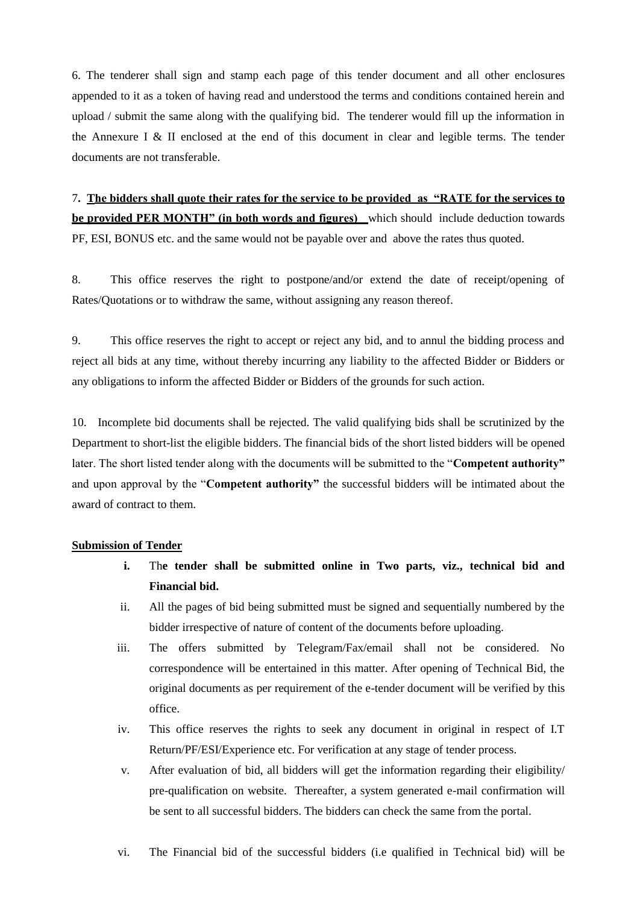6. The tenderer shall sign and stamp each page of this tender document and all other enclosures appended to it as a token of having read and understood the terms and conditions contained herein and upload / submit the same along with the qualifying bid. The tenderer would fill up the information in the Annexure I & II enclosed at the end of this document in clear and legible terms. The tender documents are not transferable.

7**. The bidders shall quote their rates for the service to be provided as "RATE for the services to be provided PER MONTH" (in both words and figures)** which should include deduction towards PF, ESI, BONUS etc. and the same would not be payable over and above the rates thus quoted.

8. This office reserves the right to postpone/and/or extend the date of receipt/opening of Rates/Quotations or to withdraw the same, without assigning any reason thereof.

9. This office reserves the right to accept or reject any bid, and to annul the bidding process and reject all bids at any time, without thereby incurring any liability to the affected Bidder or Bidders or any obligations to inform the affected Bidder or Bidders of the grounds for such action.

10. Incomplete bid documents shall be rejected. The valid qualifying bids shall be scrutinized by the Department to short-list the eligible bidders. The financial bids of the short listed bidders will be opened later. The short listed tender along with the documents will be submitted to the "**Competent authority"**  and upon approval by the "**Competent authority"** the successful bidders will be intimated about the award of contract to them.

#### **Submission of Tender**

- **i.** Th**e tender shall be submitted online in Two parts, viz., technical bid and Financial bid.**
- ii. All the pages of bid being submitted must be signed and sequentially numbered by the bidder irrespective of nature of content of the documents before uploading.
- iii. The offers submitted by Telegram/Fax/email shall not be considered. No correspondence will be entertained in this matter. After opening of Technical Bid, the original documents as per requirement of the e-tender document will be verified by this office.
- iv. This office reserves the rights to seek any document in original in respect of I.T Return/PF/ESI/Experience etc. For verification at any stage of tender process.
- v. After evaluation of bid, all bidders will get the information regarding their eligibility/ pre-qualification on website. Thereafter, a system generated e-mail confirmation will be sent to all successful bidders. The bidders can check the same from the portal.
- vi. The Financial bid of the successful bidders (i.e qualified in Technical bid) will be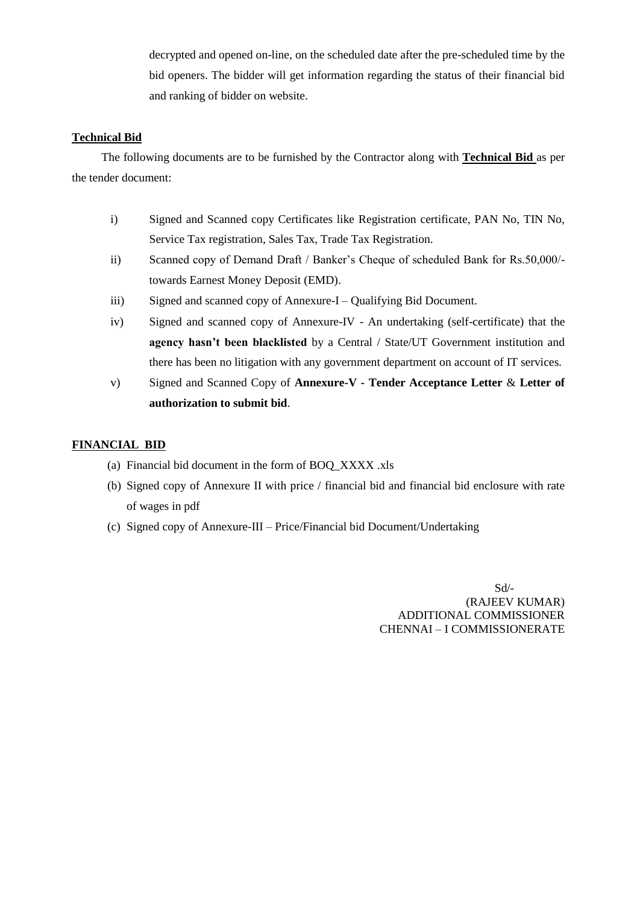decrypted and opened on-line, on the scheduled date after the pre-scheduled time by the bid openers. The bidder will get information regarding the status of their financial bid and ranking of bidder on website.

### **Technical Bid**

 The following documents are to be furnished by the Contractor along with **Technical Bid** as per the tender document:

- i) Signed and Scanned copy Certificates like Registration certificate, PAN No, TIN No, Service Tax registration, Sales Tax, Trade Tax Registration.
- ii) Scanned copy of Demand Draft / Banker's Cheque of scheduled Bank for Rs.50,000/towards Earnest Money Deposit (EMD).
- iii) Signed and scanned copy of Annexure-I Qualifying Bid Document.
- iv) Signed and scanned copy of Annexure-IV An undertaking (self-certificate) that the **agency hasn"t been blacklisted** by a Central / State/UT Government institution and there has been no litigation with any government department on account of IT services.
- v) Signed and Scanned Copy of **Annexure-V - Tender Acceptance Letter** & **Letter of authorization to submit bid**.

#### **FINANCIAL BID**

- (a) Financial bid document in the form of BOQ\_XXXX .xls
- (b) Signed copy of Annexure II with price / financial bid and financial bid enclosure with rate of wages in pdf
- (c) Signed copy of Annexure-III Price/Financial bid Document/Undertaking

 Sd/- (RAJEEV KUMAR) ADDITIONAL COMMISSIONER CHENNAI – I COMMISSIONERATE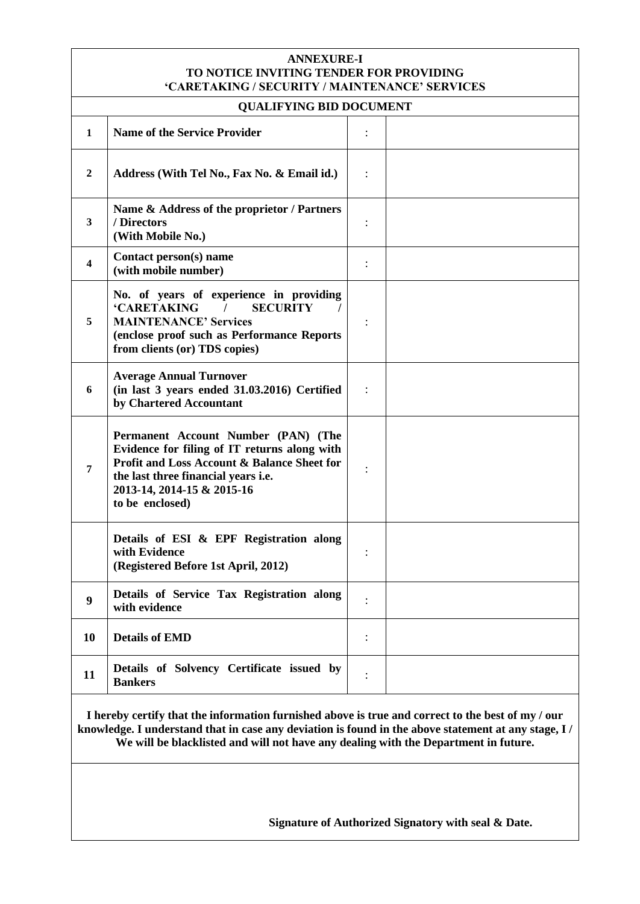#### **ANNEXURE-I TO NOTICE INVITING TENDER FOR PROVIDING "CARETAKING / SECURITY / MAINTENANCE" SERVICES**

# **INC BID DOCUMENT**

| QUALIF YING BID DOCUMENT                                                                                                                                                                                                                                                                         |                                                                                                                                                                                                                                       |                |  |  |
|--------------------------------------------------------------------------------------------------------------------------------------------------------------------------------------------------------------------------------------------------------------------------------------------------|---------------------------------------------------------------------------------------------------------------------------------------------------------------------------------------------------------------------------------------|----------------|--|--|
| $\mathbf{1}$                                                                                                                                                                                                                                                                                     | <b>Name of the Service Provider</b>                                                                                                                                                                                                   |                |  |  |
| 2                                                                                                                                                                                                                                                                                                | Address (With Tel No., Fax No. & Email id.)                                                                                                                                                                                           |                |  |  |
| 3                                                                                                                                                                                                                                                                                                | Name & Address of the proprietor / Partners<br>/ Directors<br>(With Mobile No.)                                                                                                                                                       |                |  |  |
| $\overline{\mathbf{4}}$                                                                                                                                                                                                                                                                          | Contact person(s) name<br>(with mobile number)                                                                                                                                                                                        | $\ddot{\cdot}$ |  |  |
| 5                                                                                                                                                                                                                                                                                                | No. of years of experience in providing<br><b>'CARETAKING</b><br><b>SECURITY</b><br><b>MAINTENANCE' Services</b><br>(enclose proof such as Performance Reports<br>from clients (or) TDS copies)                                       | $\ddot{\cdot}$ |  |  |
| 6                                                                                                                                                                                                                                                                                                | <b>Average Annual Turnover</b><br>(in last 3 years ended 31.03.2016) Certified<br>by Chartered Accountant                                                                                                                             |                |  |  |
| 7                                                                                                                                                                                                                                                                                                | Permanent Account Number (PAN) (The<br>Evidence for filing of IT returns along with<br><b>Profit and Loss Account &amp; Balance Sheet for</b><br>the last three financial years i.e.<br>2013-14, 2014-15 & 2015-16<br>to be enclosed) | $\ddot{\cdot}$ |  |  |
|                                                                                                                                                                                                                                                                                                  | Details of ESI & EPF Registration along<br>with Evidence<br>(Registered Before 1st April, 2012)                                                                                                                                       | :              |  |  |
| 9                                                                                                                                                                                                                                                                                                | Details of Service Tax Registration along<br>with evidence                                                                                                                                                                            |                |  |  |
| 10                                                                                                                                                                                                                                                                                               | <b>Details of EMD</b>                                                                                                                                                                                                                 |                |  |  |
| 11                                                                                                                                                                                                                                                                                               | Details of Solvency Certificate issued by<br><b>Bankers</b>                                                                                                                                                                           | $\ddot{\cdot}$ |  |  |
| I hereby certify that the information furnished above is true and correct to the best of my / our<br>knowledge. I understand that in case any deviation is found in the above statement at any stage, I /<br>We will be blacklisted and will not have any dealing with the Department in future. |                                                                                                                                                                                                                                       |                |  |  |
|                                                                                                                                                                                                                                                                                                  |                                                                                                                                                                                                                                       |                |  |  |

 **Signature of Authorized Signatory with seal & Date.**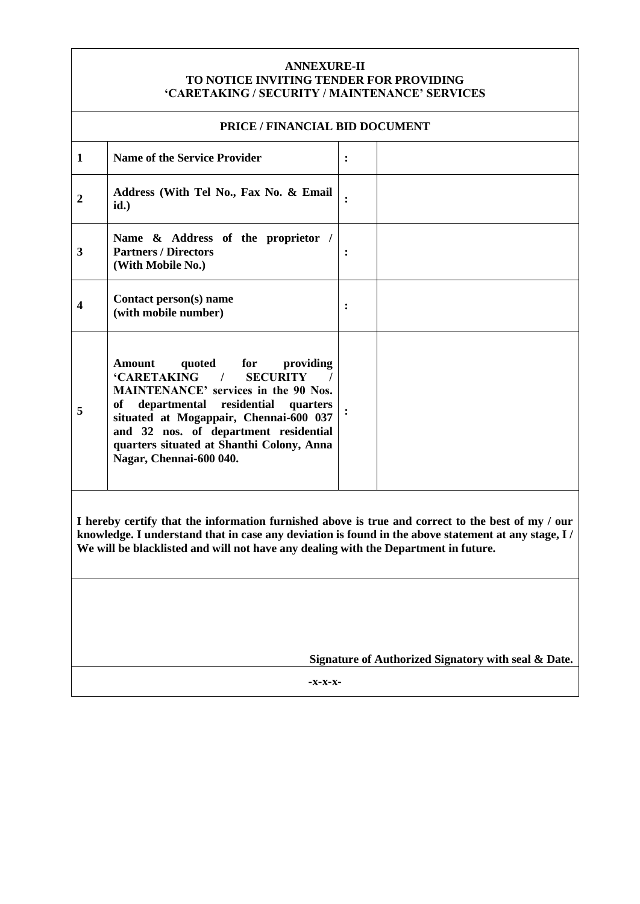#### **ANNEXURE-II TO NOTICE INVITING TENDER FOR PROVIDING "CARETAKING / SECURITY / MAINTENANCE" SERVICES**

| PRICE / FINANCIAL BID DOCUMENT                                                                                                                                                                                                                                                                   |                                                                                                                                                                                                                                                                                                                                                             |                |  |
|--------------------------------------------------------------------------------------------------------------------------------------------------------------------------------------------------------------------------------------------------------------------------------------------------|-------------------------------------------------------------------------------------------------------------------------------------------------------------------------------------------------------------------------------------------------------------------------------------------------------------------------------------------------------------|----------------|--|
| $\mathbf{1}$                                                                                                                                                                                                                                                                                     | <b>Name of the Service Provider</b>                                                                                                                                                                                                                                                                                                                         | :              |  |
| $\overline{2}$                                                                                                                                                                                                                                                                                   | Address (With Tel No., Fax No. & Email<br>id.)                                                                                                                                                                                                                                                                                                              | $\ddot{\cdot}$ |  |
| 3                                                                                                                                                                                                                                                                                                | Name & Address of the proprietor /<br><b>Partners / Directors</b><br>(With Mobile No.)                                                                                                                                                                                                                                                                      | :              |  |
| $\overline{\mathbf{4}}$                                                                                                                                                                                                                                                                          | Contact person(s) name<br>(with mobile number)                                                                                                                                                                                                                                                                                                              | $\ddot{\cdot}$ |  |
| 5                                                                                                                                                                                                                                                                                                | <b>Amount</b><br>quoted<br>for<br>providing<br><b>'CARETAKING</b><br>$\prime$<br><b>SECURITY</b><br><b>MAINTENANCE' services in the 90 Nos.</b><br>departmental<br>residential<br>quarters<br>оf<br>situated at Mogappair, Chennai-600 037<br>and 32 nos. of department residential<br>quarters situated at Shanthi Colony, Anna<br>Nagar, Chennai-600 040. |                |  |
| I hereby certify that the information furnished above is true and correct to the best of my / our<br>knowledge. I understand that in case any deviation is found in the above statement at any stage, I /<br>We will be blacklisted and will not have any dealing with the Department in future. |                                                                                                                                                                                                                                                                                                                                                             |                |  |
|                                                                                                                                                                                                                                                                                                  |                                                                                                                                                                                                                                                                                                                                                             |                |  |

**Signature of Authorized Signatory with seal & Date.**

**-x-x-x-**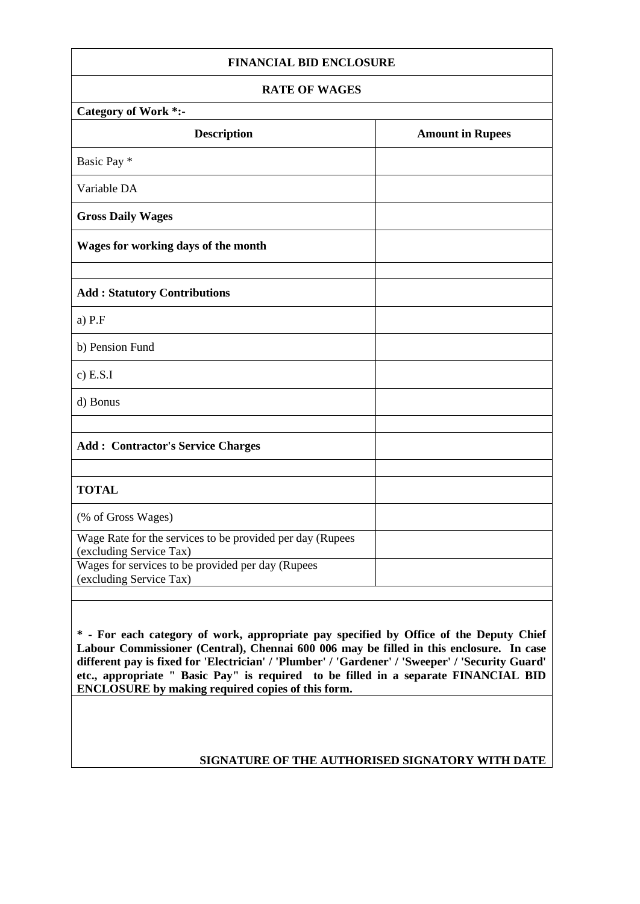#### **FINANCIAL BID ENCLOSURE**

# **RATE OF WAGES**

| <b>Category of Work *:-</b>                                                          |                         |  |  |  |
|--------------------------------------------------------------------------------------|-------------------------|--|--|--|
| <b>Description</b>                                                                   | <b>Amount in Rupees</b> |  |  |  |
| Basic Pay *                                                                          |                         |  |  |  |
| Variable DA                                                                          |                         |  |  |  |
| <b>Gross Daily Wages</b>                                                             |                         |  |  |  |
| Wages for working days of the month                                                  |                         |  |  |  |
|                                                                                      |                         |  |  |  |
| <b>Add: Statutory Contributions</b>                                                  |                         |  |  |  |
| $a)$ P.F                                                                             |                         |  |  |  |
| b) Pension Fund                                                                      |                         |  |  |  |
| $c)$ E.S.I                                                                           |                         |  |  |  |
| d) Bonus                                                                             |                         |  |  |  |
|                                                                                      |                         |  |  |  |
| <b>Add: Contractor's Service Charges</b>                                             |                         |  |  |  |
|                                                                                      |                         |  |  |  |
| <b>TOTAL</b>                                                                         |                         |  |  |  |
| (% of Gross Wages)                                                                   |                         |  |  |  |
| Wage Rate for the services to be provided per day (Rupees<br>(excluding Service Tax) |                         |  |  |  |
| Wages for services to be provided per day (Rupees<br>(excluding Service Tax)         |                         |  |  |  |
|                                                                                      |                         |  |  |  |

**\* - For each category of work, appropriate pay specified by Office of the Deputy Chief Labour Commissioner (Central), Chennai 600 006 may be filled in this enclosure. In case different pay is fixed for 'Electrician' / 'Plumber' / 'Gardener' / 'Sweeper' / 'Security Guard' etc., appropriate " Basic Pay" is required to be filled in a separate FINANCIAL BID ENCLOSURE by making required copies of this form.**

# **SIGNATURE OF THE AUTHORISED SIGNATORY WITH DATE**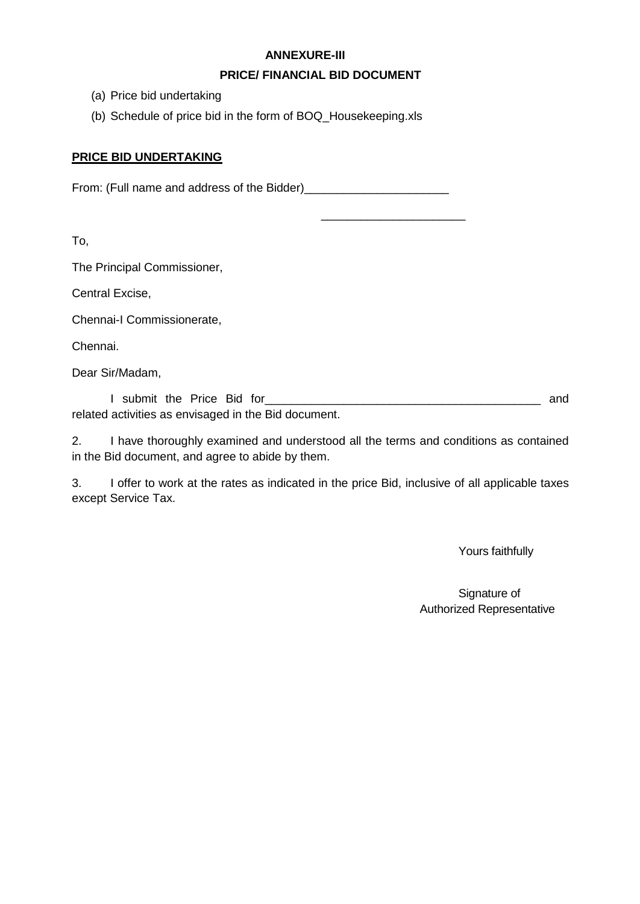# **ANNEXURE-III**

# **PRICE/ FINANCIAL BID DOCUMENT**

 $\frac{1}{2}$  ,  $\frac{1}{2}$  ,  $\frac{1}{2}$  ,  $\frac{1}{2}$  ,  $\frac{1}{2}$  ,  $\frac{1}{2}$  ,  $\frac{1}{2}$  ,  $\frac{1}{2}$  ,  $\frac{1}{2}$  ,  $\frac{1}{2}$  ,  $\frac{1}{2}$  ,  $\frac{1}{2}$  ,  $\frac{1}{2}$  ,  $\frac{1}{2}$  ,  $\frac{1}{2}$  ,  $\frac{1}{2}$  ,  $\frac{1}{2}$  ,  $\frac{1}{2}$  ,  $\frac{1$ 

- (a) Price bid undertaking
- (b) Schedule of price bid in the form of BOQ\_Housekeeping.xls

# **PRICE BID UNDERTAKING**

From: (Full name and address of the Bidder)\_\_\_\_\_\_\_\_\_\_\_\_\_\_\_\_\_\_\_\_\_\_

To,

The Principal Commissioner,

Central Excise,

Chennai-I Commissionerate,

Chennai.

Dear Sir/Madam,

I submit the Price Bid for\_\_\_\_\_\_\_\_\_\_\_\_\_\_\_\_\_\_\_\_\_\_\_\_\_\_\_\_\_\_\_\_\_\_\_\_\_\_\_\_\_\_ and related activities as envisaged in the Bid document.

2. I have thoroughly examined and understood all the terms and conditions as contained in the Bid document, and agree to abide by them.

3. I offer to work at the rates as indicated in the price Bid, inclusive of all applicable taxes except Service Tax.

Yours faithfully

Signature of Authorized Representative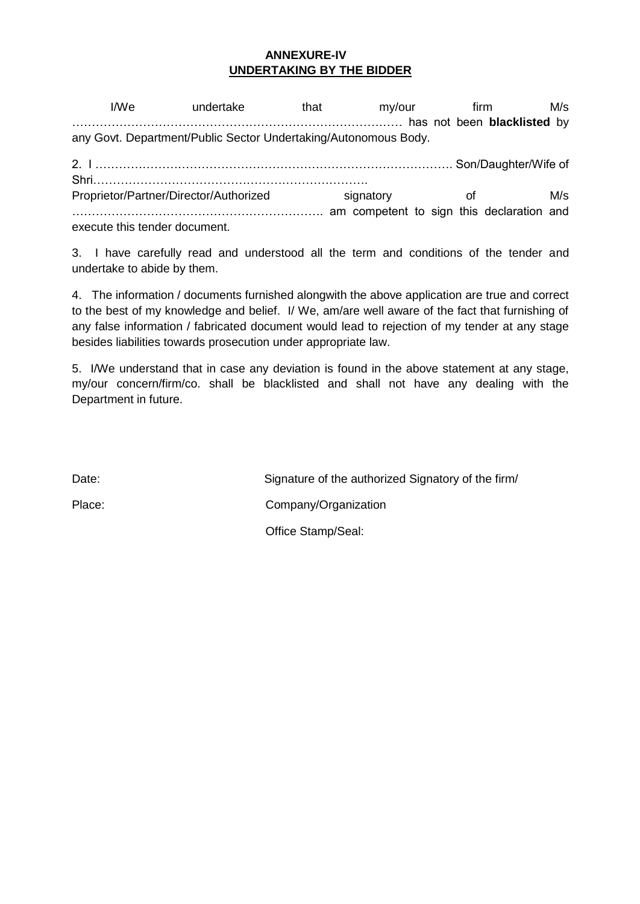# **ANNEXURE-IV UNDERTAKING BY THE BIDDER**

I/We undertake that my/our firm M/s ………………………………………………………………………… has not been **blacklisted** by any Govt. Department/Public Sector Undertaking/Autonomous Body. 2. I ………………………………………………………………………………. Son/Daughter/Wife of Shri…………………………………………………………….

Proprietor/Partner/Director/Authorized signatory of M/s ………………………………………………………. am competent to sign this declaration and execute this tender document.

3. I have carefully read and understood all the term and conditions of the tender and undertake to abide by them.

4. The information / documents furnished alongwith the above application are true and correct to the best of my knowledge and belief. I/ We, am/are well aware of the fact that furnishing of any false information / fabricated document would lead to rejection of my tender at any stage besides liabilities towards prosecution under appropriate law.

5. I/We understand that in case any deviation is found in the above statement at any stage, my/our concern/firm/co. shall be blacklisted and shall not have any dealing with the Department in future.

Date: Signature of the authorized Signatory of the firm/ Place: Company/Organization Office Stamp/Seal: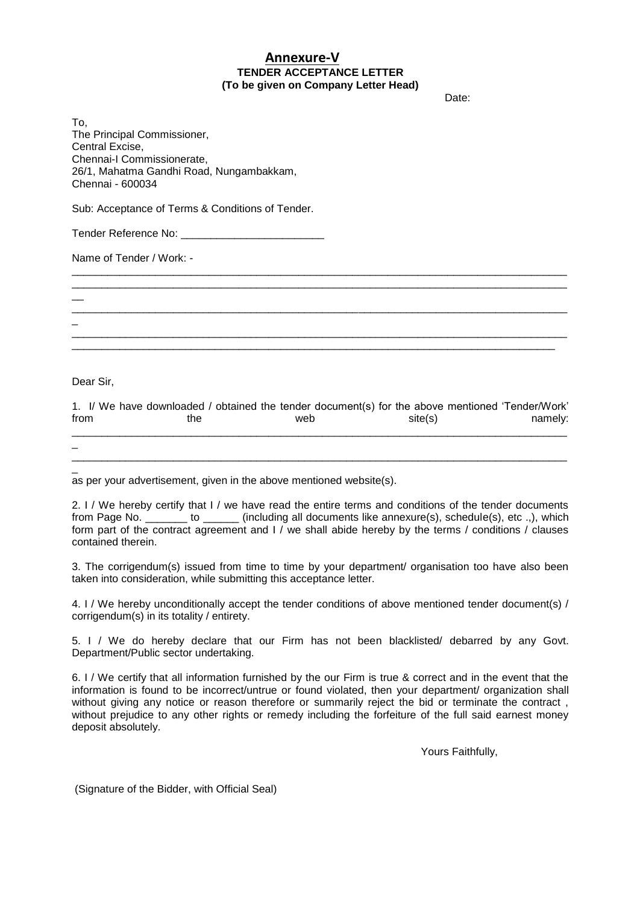### **Annexure-V TENDER ACCEPTANCE LETTER (To be given on Company Letter Head)**

discussion of the contract of the contract of the contract of the contract of the contract of the contract of the contract of the contract of the contract of the contract of the contract of the contract of the contract of

To, The Principal Commissioner, Central Excise, Chennai-I Commissionerate, 26/1, Mahatma Gandhi Road, Nungambakkam, Chennai - 600034

Sub: Acceptance of Terms & Conditions of Tender.

Tender Reference No: \_\_\_\_\_\_\_\_\_\_\_\_\_\_\_\_\_\_\_\_\_\_\_\_

Name of Tender / Work: -

Dear Sir,

 $\overline{\phantom{a}}$ 

\_

|      |     |     | 1. I/ We have downloaded / obtained the tender document(s) for the above mentioned 'Tender/Work' |         |
|------|-----|-----|--------------------------------------------------------------------------------------------------|---------|
| from | the | web | site(s)                                                                                          | namely: |
|      |     |     |                                                                                                  |         |
|      |     |     |                                                                                                  |         |

\_\_\_\_\_\_\_\_\_\_\_\_\_\_\_\_\_\_\_\_\_\_\_\_\_\_\_\_\_\_\_\_\_\_\_\_\_\_\_\_\_\_\_\_\_\_\_\_\_\_\_\_\_\_\_\_\_\_\_\_\_\_\_\_\_\_\_\_\_\_\_\_\_\_\_\_\_\_\_\_\_\_\_

\_\_\_\_\_\_\_\_\_\_\_\_\_\_\_\_\_\_\_\_\_\_\_\_\_\_\_\_\_\_\_\_\_\_\_\_\_\_\_\_\_\_\_\_\_\_\_\_\_\_\_\_\_\_\_\_\_\_\_\_\_\_\_\_\_\_\_\_\_\_\_\_\_\_\_\_\_\_\_\_\_\_\_ \_\_\_\_\_\_\_\_\_\_\_\_\_\_\_\_\_\_\_\_\_\_\_\_\_\_\_\_\_\_\_\_\_\_\_\_\_\_\_\_\_\_\_\_\_\_\_\_\_\_\_\_\_\_\_\_\_\_\_\_\_\_\_\_\_\_\_\_\_\_\_\_\_\_\_\_\_\_\_\_\_\_\_

\_\_\_\_\_\_\_\_\_\_\_\_\_\_\_\_\_\_\_\_\_\_\_\_\_\_\_\_\_\_\_\_\_\_\_\_\_\_\_\_\_\_\_\_\_\_\_\_\_\_\_\_\_\_\_\_\_\_\_\_\_\_\_\_\_\_\_\_\_\_\_\_\_\_\_\_\_\_\_\_\_\_\_

\_\_\_\_\_\_\_\_\_\_\_\_\_\_\_\_\_\_\_\_\_\_\_\_\_\_\_\_\_\_\_\_\_\_\_\_\_\_\_\_\_\_\_\_\_\_\_\_\_\_\_\_\_\_\_\_\_\_\_\_\_\_\_\_\_\_\_\_\_\_\_\_\_\_\_\_\_\_\_\_\_\_\_ \_\_\_\_\_\_\_\_\_\_\_\_\_\_\_\_\_\_\_\_\_\_\_\_\_\_\_\_\_\_\_\_\_\_\_\_\_\_\_\_\_\_\_\_\_\_\_\_\_\_\_\_\_\_\_\_\_\_\_\_\_\_\_\_\_\_\_\_\_\_\_\_\_\_\_\_\_\_\_\_\_

\_ as per your advertisement, given in the above mentioned website(s).

2. I / We hereby certify that I / we have read the entire terms and conditions of the tender documents from Page No. \_\_\_\_\_\_\_ to \_\_\_\_\_\_ (including all documents like annexure(s), schedule(s), etc .,), which form part of the contract agreement and I / we shall abide hereby by the terms / conditions / clauses contained therein.

3. The corrigendum(s) issued from time to time by your department/ organisation too have also been taken into consideration, while submitting this acceptance letter.

4. I / We hereby unconditionally accept the tender conditions of above mentioned tender document(s) / corrigendum(s) in its totality / entirety.

5. I / We do hereby declare that our Firm has not been blacklisted/ debarred by any Govt. Department/Public sector undertaking.

6. I / We certify that all information furnished by the our Firm is true & correct and in the event that the information is found to be incorrect/untrue or found violated, then your department/ organization shall without giving any notice or reason therefore or summarily reject the bid or terminate the contract , without prejudice to any other rights or remedy including the forfeiture of the full said earnest money deposit absolutely.

Yours Faithfully,

(Signature of the Bidder, with Official Seal)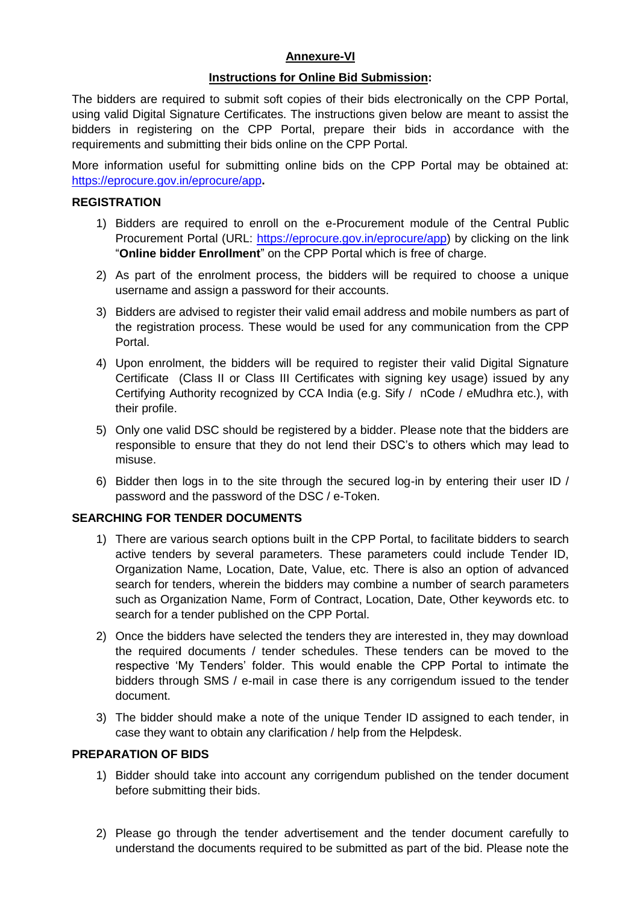# **Annexure-VI**

# **Instructions for Online Bid Submission:**

The bidders are required to submit soft copies of their bids electronically on the CPP Portal, using valid Digital Signature Certificates. The instructions given below are meant to assist the bidders in registering on the CPP Portal, prepare their bids in accordance with the requirements and submitting their bids online on the CPP Portal.

More information useful for submitting online bids on the CPP Portal may be obtained at: <https://eprocure.gov.in/eprocure/app>**.**

# **REGISTRATION**

- 1) Bidders are required to enroll on the e-Procurement module of the Central Public Procurement Portal (URL: [https://eprocure.gov.in/eprocure/app\)](https://eprocure.gov.in/eprocure/app) by clicking on the link "**Online bidder Enrollment**" on the CPP Portal which is free of charge.
- 2) As part of the enrolment process, the bidders will be required to choose a unique username and assign a password for their accounts.
- 3) Bidders are advised to register their valid email address and mobile numbers as part of the registration process. These would be used for any communication from the CPP Portal.
- 4) Upon enrolment, the bidders will be required to register their valid Digital Signature Certificate (Class II or Class III Certificates with signing key usage) issued by any Certifying Authority recognized by CCA India (e.g. Sify / nCode / eMudhra etc.), with their profile.
- 5) Only one valid DSC should be registered by a bidder. Please note that the bidders are responsible to ensure that they do not lend their DSC"s to others which may lead to misuse.
- 6) Bidder then logs in to the site through the secured log-in by entering their user ID / password and the password of the DSC / e-Token.

# **SEARCHING FOR TENDER DOCUMENTS**

- 1) There are various search options built in the CPP Portal, to facilitate bidders to search active tenders by several parameters. These parameters could include Tender ID, Organization Name, Location, Date, Value, etc. There is also an option of advanced search for tenders, wherein the bidders may combine a number of search parameters such as Organization Name, Form of Contract, Location, Date, Other keywords etc. to search for a tender published on the CPP Portal.
- 2) Once the bidders have selected the tenders they are interested in, they may download the required documents / tender schedules. These tenders can be moved to the respective "My Tenders" folder. This would enable the CPP Portal to intimate the bidders through SMS / e-mail in case there is any corrigendum issued to the tender document.
- 3) The bidder should make a note of the unique Tender ID assigned to each tender, in case they want to obtain any clarification / help from the Helpdesk.

# **PREPARATION OF BIDS**

- 1) Bidder should take into account any corrigendum published on the tender document before submitting their bids.
- 2) Please go through the tender advertisement and the tender document carefully to understand the documents required to be submitted as part of the bid. Please note the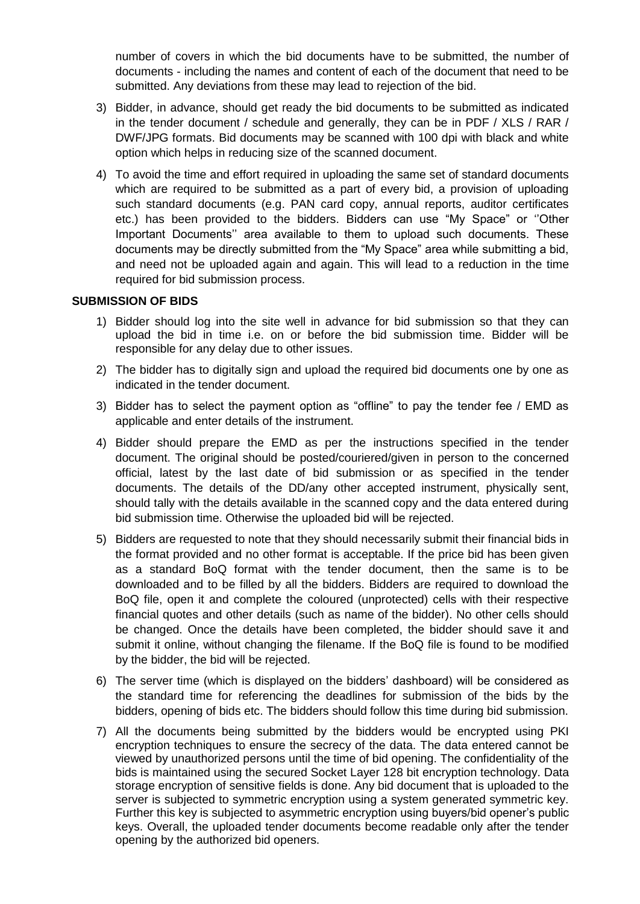number of covers in which the bid documents have to be submitted, the number of documents - including the names and content of each of the document that need to be submitted. Any deviations from these may lead to rejection of the bid.

- 3) Bidder, in advance, should get ready the bid documents to be submitted as indicated in the tender document / schedule and generally, they can be in PDF / XLS / RAR / DWF/JPG formats. Bid documents may be scanned with 100 dpi with black and white option which helps in reducing size of the scanned document.
- 4) To avoid the time and effort required in uploading the same set of standard documents which are required to be submitted as a part of every bid, a provision of uploading such standard documents (e.g. PAN card copy, annual reports, auditor certificates etc.) has been provided to the bidders. Bidders can use "My Space" or "Other Important Documents" area available to them to upload such documents. These documents may be directly submitted from the "My Space" area while submitting a bid, and need not be uploaded again and again. This will lead to a reduction in the time required for bid submission process.

### **SUBMISSION OF BIDS**

- 1) Bidder should log into the site well in advance for bid submission so that they can upload the bid in time i.e. on or before the bid submission time. Bidder will be responsible for any delay due to other issues.
- 2) The bidder has to digitally sign and upload the required bid documents one by one as indicated in the tender document.
- 3) Bidder has to select the payment option as "offline" to pay the tender fee / EMD as applicable and enter details of the instrument.
- 4) Bidder should prepare the EMD as per the instructions specified in the tender document. The original should be posted/couriered/given in person to the concerned official, latest by the last date of bid submission or as specified in the tender documents. The details of the DD/any other accepted instrument, physically sent, should tally with the details available in the scanned copy and the data entered during bid submission time. Otherwise the uploaded bid will be rejected.
- 5) Bidders are requested to note that they should necessarily submit their financial bids in the format provided and no other format is acceptable. If the price bid has been given as a standard BoQ format with the tender document, then the same is to be downloaded and to be filled by all the bidders. Bidders are required to download the BoQ file, open it and complete the coloured (unprotected) cells with their respective financial quotes and other details (such as name of the bidder). No other cells should be changed. Once the details have been completed, the bidder should save it and submit it online, without changing the filename. If the BoQ file is found to be modified by the bidder, the bid will be rejected.
- 6) The server time (which is displayed on the bidders" dashboard) will be considered as the standard time for referencing the deadlines for submission of the bids by the bidders, opening of bids etc. The bidders should follow this time during bid submission.
- 7) All the documents being submitted by the bidders would be encrypted using PKI encryption techniques to ensure the secrecy of the data. The data entered cannot be viewed by unauthorized persons until the time of bid opening. The confidentiality of the bids is maintained using the secured Socket Layer 128 bit encryption technology. Data storage encryption of sensitive fields is done. Any bid document that is uploaded to the server is subjected to symmetric encryption using a system generated symmetric key. Further this key is subjected to asymmetric encryption using buyers/bid opener"s public keys. Overall, the uploaded tender documents become readable only after the tender opening by the authorized bid openers.